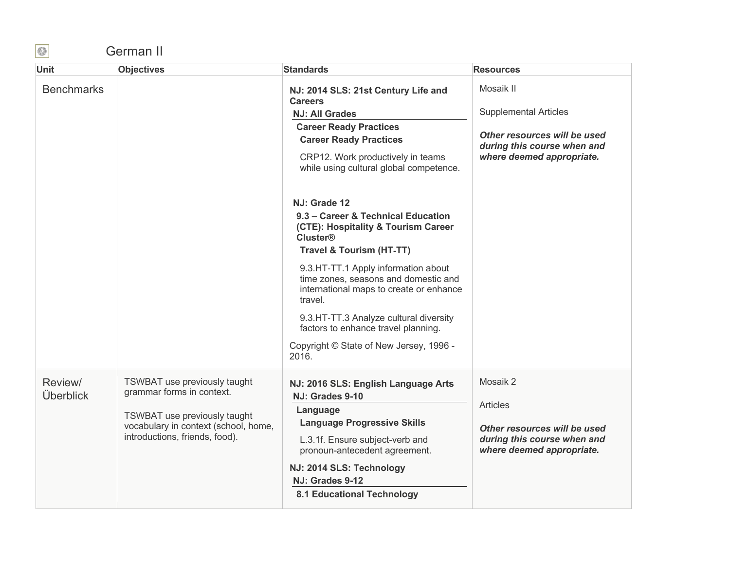## German II

| <b>Unit</b>          | <b>Objectives</b>                                                                                                                                                   | <b>Standards</b>                                                                                                                                                                                                                                                              | <b>Resources</b>                                                                                                                      |
|----------------------|---------------------------------------------------------------------------------------------------------------------------------------------------------------------|-------------------------------------------------------------------------------------------------------------------------------------------------------------------------------------------------------------------------------------------------------------------------------|---------------------------------------------------------------------------------------------------------------------------------------|
| <b>Benchmarks</b>    |                                                                                                                                                                     | NJ: 2014 SLS: 21st Century Life and<br><b>Careers</b><br><b>NJ: All Grades</b><br><b>Career Ready Practices</b><br><b>Career Ready Practices</b><br>CRP12. Work productively in teams<br>while using cultural global competence.                                              | Mosaik II<br><b>Supplemental Articles</b><br>Other resources will be used<br>during this course when and<br>where deemed appropriate. |
|                      |                                                                                                                                                                     | NJ: Grade 12<br>9.3 – Career & Technical Education<br>(CTE): Hospitality & Tourism Career<br><b>Cluster®</b><br><b>Travel &amp; Tourism (HT-TT)</b><br>9.3.HT-TT.1 Apply information about<br>time zones, seasons and domestic and<br>international maps to create or enhance |                                                                                                                                       |
|                      |                                                                                                                                                                     | travel.<br>9.3.HT-TT.3 Analyze cultural diversity<br>factors to enhance travel planning.<br>Copyright © State of New Jersey, 1996 -<br>2016.                                                                                                                                  |                                                                                                                                       |
| Review/<br>Überblick | TSWBAT use previously taught<br>grammar forms in context.<br>TSWBAT use previously taught<br>vocabulary in context (school, home,<br>introductions, friends, food). | NJ: 2016 SLS: English Language Arts<br>NJ: Grades 9-10<br>Language<br><b>Language Progressive Skills</b><br>L.3.1f. Ensure subject-verb and<br>pronoun-antecedent agreement.<br>NJ: 2014 SLS: Technology<br>NJ: Grades 9-12<br><b>8.1 Educational Technology</b>              | Mosaik 2<br><b>Articles</b><br>Other resources will be used<br>during this course when and<br>where deemed appropriate.               |

 $\bigcirc$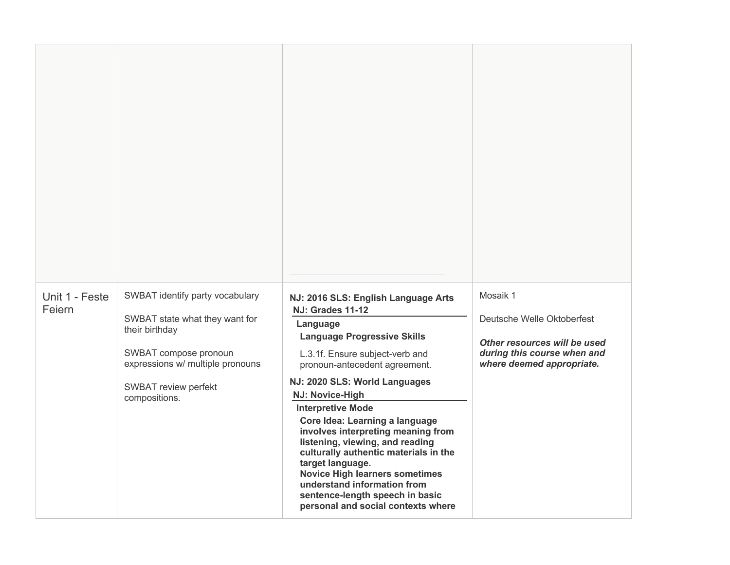| Unit 1 - Feste<br>Feiern | SWBAT identify party vocabulary<br>SWBAT state what they want for<br>their birthday<br>SWBAT compose pronoun<br>expressions w/ multiple pronouns<br>SWBAT review perfekt<br>compositions. | NJ: 2016 SLS: English Language Arts<br><b>NJ: Grades 11-12</b><br>Language<br><b>Language Progressive Skills</b><br>L.3.1f. Ensure subject-verb and<br>pronoun-antecedent agreement.<br>NJ: 2020 SLS: World Languages<br>NJ: Novice-High<br><b>Interpretive Mode</b><br>Core Idea: Learning a language<br>involves interpreting meaning from<br>listening, viewing, and reading<br>culturally authentic materials in the<br>target language.<br><b>Novice High learners sometimes</b><br>understand information from<br>sentence-length speech in basic<br>personal and social contexts where | Mosaik 1<br>Deutsche Welle Oktoberfest<br>Other resources will be used<br>during this course when and<br>where deemed appropriate. |
|--------------------------|-------------------------------------------------------------------------------------------------------------------------------------------------------------------------------------------|-----------------------------------------------------------------------------------------------------------------------------------------------------------------------------------------------------------------------------------------------------------------------------------------------------------------------------------------------------------------------------------------------------------------------------------------------------------------------------------------------------------------------------------------------------------------------------------------------|------------------------------------------------------------------------------------------------------------------------------------|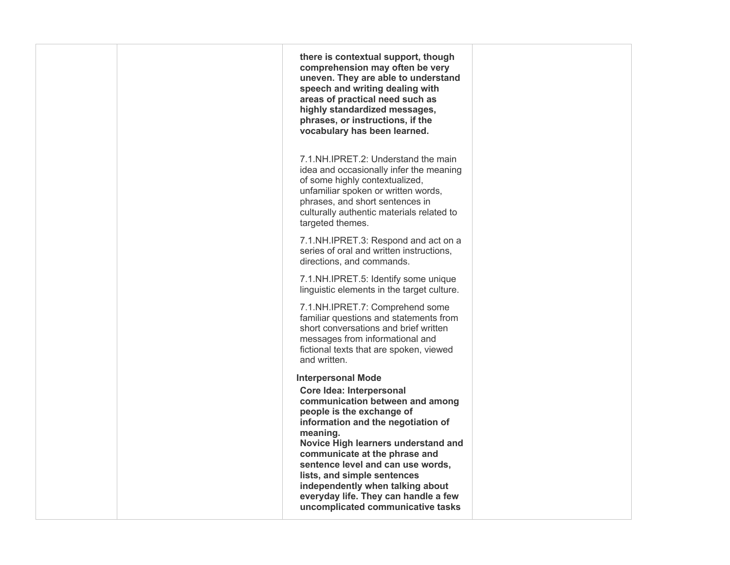| there is contextual support, though<br>comprehension may often be very<br>uneven. They are able to understand<br>speech and writing dealing with<br>areas of practical need such as<br>highly standardized messages,<br>phrases, or instructions, if the<br>vocabulary has been learned.                                                                                                        |                                   |
|-------------------------------------------------------------------------------------------------------------------------------------------------------------------------------------------------------------------------------------------------------------------------------------------------------------------------------------------------------------------------------------------------|-----------------------------------|
| 7.1.NH.IPRET.2: Understand the main<br>idea and occasionally infer the meaning<br>of some highly contextualized,<br>unfamiliar spoken or written words,<br>phrases, and short sentences in<br>culturally authentic materials related to<br>targeted themes.                                                                                                                                     |                                   |
| 7.1.NH.IPRET.3: Respond and act on a<br>series of oral and written instructions,<br>directions, and commands.                                                                                                                                                                                                                                                                                   |                                   |
| 7.1.NH.IPRET.5: Identify some unique<br>linguistic elements in the target culture.                                                                                                                                                                                                                                                                                                              |                                   |
| 7.1.NH.IPRET.7: Comprehend some<br>familiar questions and statements from<br>short conversations and brief written<br>messages from informational and<br>fictional texts that are spoken, viewed<br>and written.                                                                                                                                                                                |                                   |
| <b>Interpersonal Mode</b><br>Core Idea: Interpersonal<br>communication between and among<br>people is the exchange of<br>information and the negotiation of<br>meaning.<br>Novice High learners understand and<br>communicate at the phrase and<br>sentence level and can use words,<br>lists, and simple sentences<br>independently when talking about<br>everyday life. They can handle a few |                                   |
|                                                                                                                                                                                                                                                                                                                                                                                                 | uncomplicated communicative tasks |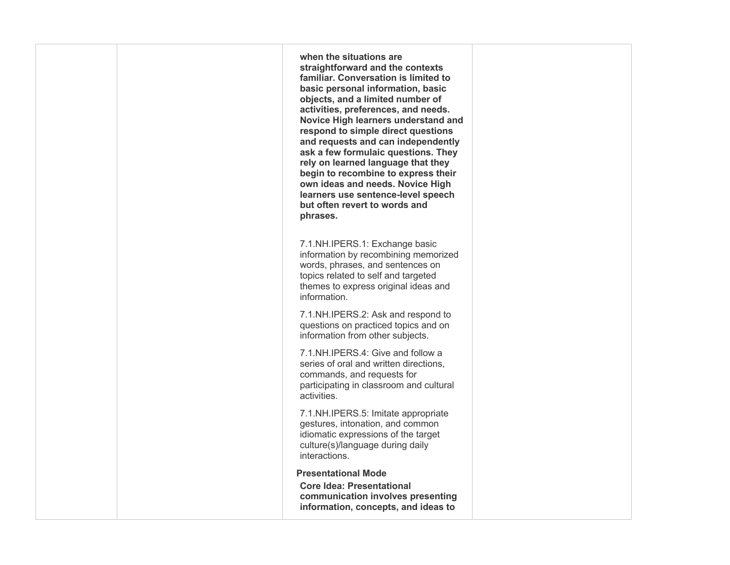**when the situations are straightforward and the contexts basic personal information, basic objects, and a limited number of activities, preferences, and needs. Novice High learners understand and respond to simple direct questions and requests and can independently rely on learned language that they begin to recombine to express their own ideas and needs. Novice High but often revert to words and familiar. Conversation is limited to ask a few formulaic questions. They learners use sentence-level speech phrases.** 

 information by recombining memorized words, phrases, and sentences on 7.1.NH.IPERS.1: Exchange basic topics related to self and targeted themes to express original ideas and information.

 information from other subjects. 7.1.NH.IPERS.2: Ask and respond to questions on practiced topics and on

7.1.NH.IPERS.4: Give and follow a series of oral and written directions, commands, and requests for participating in classroom and cultural activities.

 gestures, intonation, and common idiomatic expressions of the target 7.1.NH.IPERS.5: Imitate appropriate culture(s)/language during daily interactions.

**Presentational Mode** 

 **Core Idea: Presentational communication involves presenting information, concepts, and ideas to**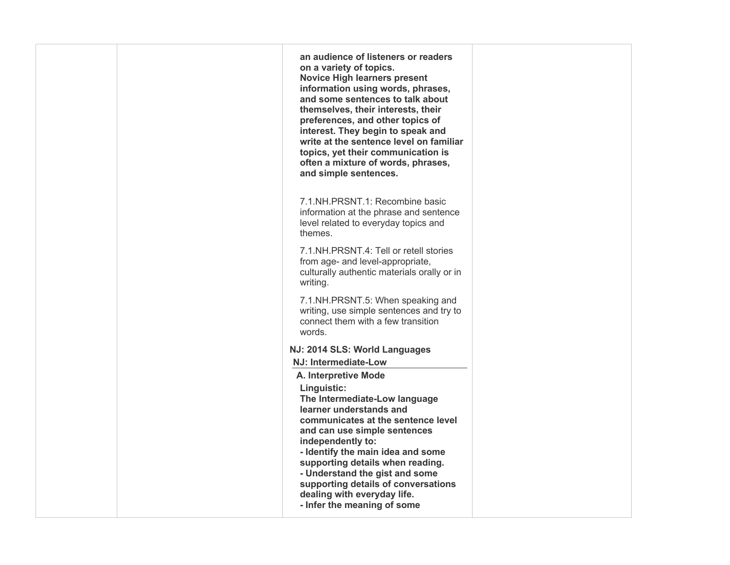| an audience of listeners or readers<br>on a variety of topics.<br><b>Novice High learners present</b><br>information using words, phrases,<br>and some sentences to talk about<br>themselves, their interests, their<br>preferences, and other topics of<br>interest. They begin to speak and<br>write at the sentence level on familiar<br>topics, yet their communication is<br>often a mixture of words, phrases,<br>and simple sentences. |                               |
|-----------------------------------------------------------------------------------------------------------------------------------------------------------------------------------------------------------------------------------------------------------------------------------------------------------------------------------------------------------------------------------------------------------------------------------------------|-------------------------------|
| 7.1.NH.PRSNT.1: Recombine basic<br>information at the phrase and sentence<br>level related to everyday topics and<br>themes.                                                                                                                                                                                                                                                                                                                  |                               |
| 7.1.NH.PRSNT.4: Tell or retell stories<br>from age- and level-appropriate,<br>culturally authentic materials orally or in<br>writing.                                                                                                                                                                                                                                                                                                         |                               |
| 7.1.NH.PRSNT.5: When speaking and<br>writing, use simple sentences and try to<br>connect them with a few transition<br>words.                                                                                                                                                                                                                                                                                                                 |                               |
|                                                                                                                                                                                                                                                                                                                                                                                                                                               |                               |
| NJ: Intermediate-Low                                                                                                                                                                                                                                                                                                                                                                                                                          |                               |
| A. Interpretive Mode                                                                                                                                                                                                                                                                                                                                                                                                                          |                               |
| Linguistic:<br>The Intermediate-Low language<br>learner understands and<br>communicates at the sentence level<br>and can use simple sentences<br>independently to:<br>- Identify the main idea and some<br>supporting details when reading.<br>- Understand the gist and some<br>supporting details of conversations<br>dealing with everyday life.<br>- Infer the meaning of some                                                            |                               |
|                                                                                                                                                                                                                                                                                                                                                                                                                                               | NJ: 2014 SLS: World Languages |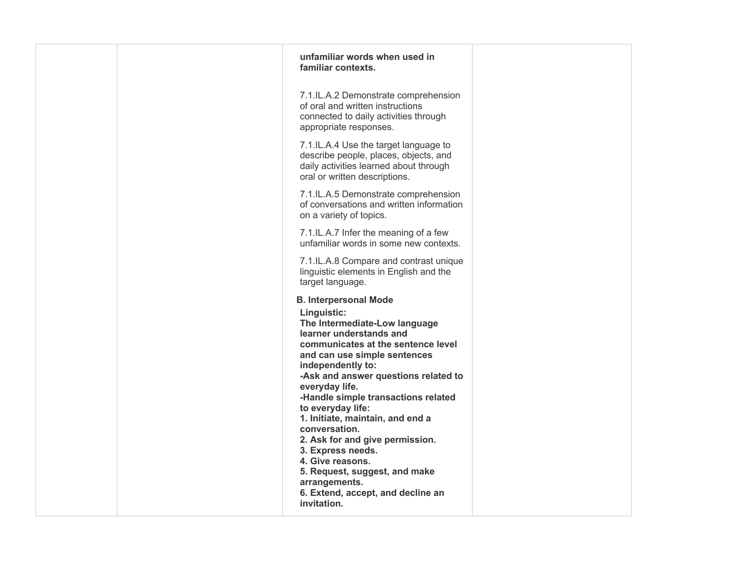| unfamiliar words when used in<br>familiar contexts.                                                                                                                                                                                                                                                                                                                                                                                                                                                                                              |             |
|--------------------------------------------------------------------------------------------------------------------------------------------------------------------------------------------------------------------------------------------------------------------------------------------------------------------------------------------------------------------------------------------------------------------------------------------------------------------------------------------------------------------------------------------------|-------------|
| 7.1.IL.A.2 Demonstrate comprehension<br>of oral and written instructions<br>connected to daily activities through<br>appropriate responses.                                                                                                                                                                                                                                                                                                                                                                                                      |             |
| 7.1.IL.A.4 Use the target language to<br>describe people, places, objects, and<br>daily activities learned about through<br>oral or written descriptions.                                                                                                                                                                                                                                                                                                                                                                                        |             |
| 7.1.IL.A.5 Demonstrate comprehension<br>of conversations and written information<br>on a variety of topics.                                                                                                                                                                                                                                                                                                                                                                                                                                      |             |
| 7.1.IL.A.7 Infer the meaning of a few<br>unfamiliar words in some new contexts.                                                                                                                                                                                                                                                                                                                                                                                                                                                                  |             |
| 7.1.IL.A.8 Compare and contrast unique<br>linguistic elements in English and the<br>target language.                                                                                                                                                                                                                                                                                                                                                                                                                                             |             |
| <b>B. Interpersonal Mode</b><br>Linguistic:<br>The Intermediate-Low language<br>learner understands and<br>communicates at the sentence level<br>and can use simple sentences<br>independently to:<br>-Ask and answer questions related to<br>everyday life.<br>-Handle simple transactions related<br>to everyday life:<br>1. Initiate, maintain, and end a<br>conversation.<br>2. Ask for and give permission.<br>3. Express needs.<br>4. Give reasons.<br>5. Request, suggest, and make<br>arrangements.<br>6. Extend, accept, and decline an |             |
|                                                                                                                                                                                                                                                                                                                                                                                                                                                                                                                                                  | invitation. |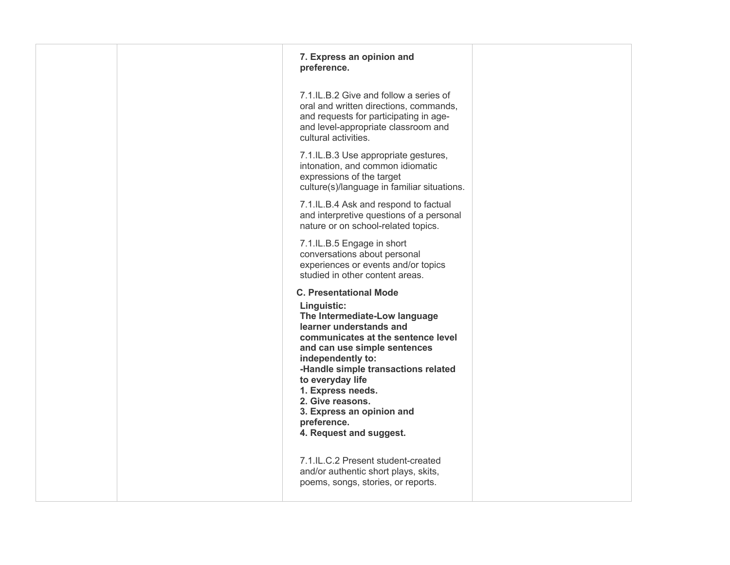| 7. Express an opinion and<br>preference.                                                                                                                                                                                                                                                                                                                                       |  |
|--------------------------------------------------------------------------------------------------------------------------------------------------------------------------------------------------------------------------------------------------------------------------------------------------------------------------------------------------------------------------------|--|
| 7.1.IL.B.2 Give and follow a series of<br>oral and written directions, commands,<br>and requests for participating in age-<br>and level-appropriate classroom and<br>cultural activities.                                                                                                                                                                                      |  |
| 7.1.IL.B.3 Use appropriate gestures,<br>intonation, and common idiomatic<br>expressions of the target<br>culture(s)/language in familiar situations.                                                                                                                                                                                                                           |  |
| 7.1.IL.B.4 Ask and respond to factual<br>and interpretive questions of a personal<br>nature or on school-related topics.                                                                                                                                                                                                                                                       |  |
| 7.1.IL.B.5 Engage in short<br>conversations about personal<br>experiences or events and/or topics<br>studied in other content areas.                                                                                                                                                                                                                                           |  |
| <b>C. Presentational Mode</b><br>Linguistic:<br>The Intermediate-Low language<br>learner understands and<br>communicates at the sentence level<br>and can use simple sentences<br>independently to:<br>-Handle simple transactions related<br>to everyday life<br>1. Express needs.<br>2. Give reasons.<br>3. Express an opinion and<br>preference.<br>4. Request and suggest. |  |
| 7.1.IL.C.2 Present student-created<br>and/or authentic short plays, skits,<br>poems, songs, stories, or reports.                                                                                                                                                                                                                                                               |  |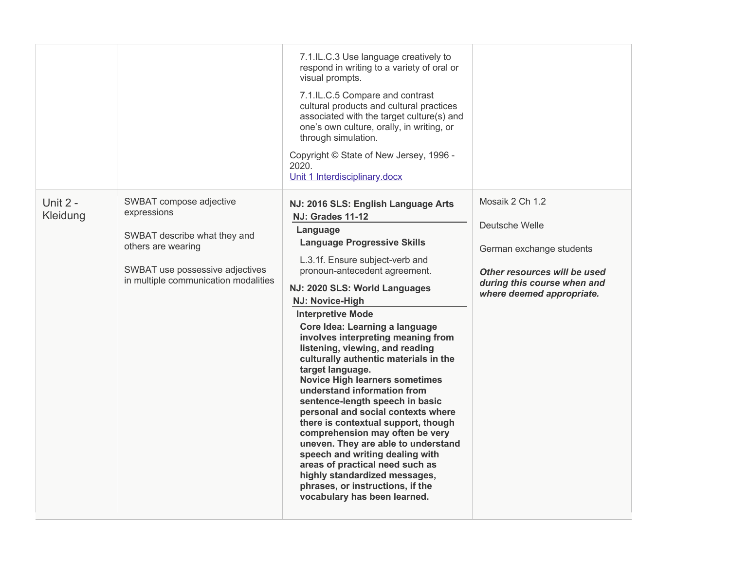|                      |                                                                                                                                                                         | 7.1.IL.C.3 Use language creatively to<br>respond in writing to a variety of oral or<br>visual prompts.<br>7.1.IL.C.5 Compare and contrast<br>cultural products and cultural practices<br>associated with the target culture(s) and<br>one's own culture, orally, in writing, or<br>through simulation.<br>Copyright © State of New Jersey, 1996 -<br>2020.<br>Unit 1 Interdisciplinary.docx                                                                                                                                                                                                                                                                                                                                                                                                                                                                                               |                                                                                                                                                           |
|----------------------|-------------------------------------------------------------------------------------------------------------------------------------------------------------------------|-------------------------------------------------------------------------------------------------------------------------------------------------------------------------------------------------------------------------------------------------------------------------------------------------------------------------------------------------------------------------------------------------------------------------------------------------------------------------------------------------------------------------------------------------------------------------------------------------------------------------------------------------------------------------------------------------------------------------------------------------------------------------------------------------------------------------------------------------------------------------------------------|-----------------------------------------------------------------------------------------------------------------------------------------------------------|
| Unit 2 -<br>Kleidung | SWBAT compose adjective<br>expressions<br>SWBAT describe what they and<br>others are wearing<br>SWBAT use possessive adjectives<br>in multiple communication modalities | NJ: 2016 SLS: English Language Arts<br><b>NJ: Grades 11-12</b><br>Language<br><b>Language Progressive Skills</b><br>L.3.1f. Ensure subject-verb and<br>pronoun-antecedent agreement.<br>NJ: 2020 SLS: World Languages<br>NJ: Novice-High<br><b>Interpretive Mode</b><br>Core Idea: Learning a language<br>involves interpreting meaning from<br>listening, viewing, and reading<br>culturally authentic materials in the<br>target language.<br><b>Novice High learners sometimes</b><br>understand information from<br>sentence-length speech in basic<br>personal and social contexts where<br>there is contextual support, though<br>comprehension may often be very<br>uneven. They are able to understand<br>speech and writing dealing with<br>areas of practical need such as<br>highly standardized messages,<br>phrases, or instructions, if the<br>vocabulary has been learned. | Mosaik 2 Ch 1.2<br>Deutsche Welle<br>German exchange students<br>Other resources will be used<br>during this course when and<br>where deemed appropriate. |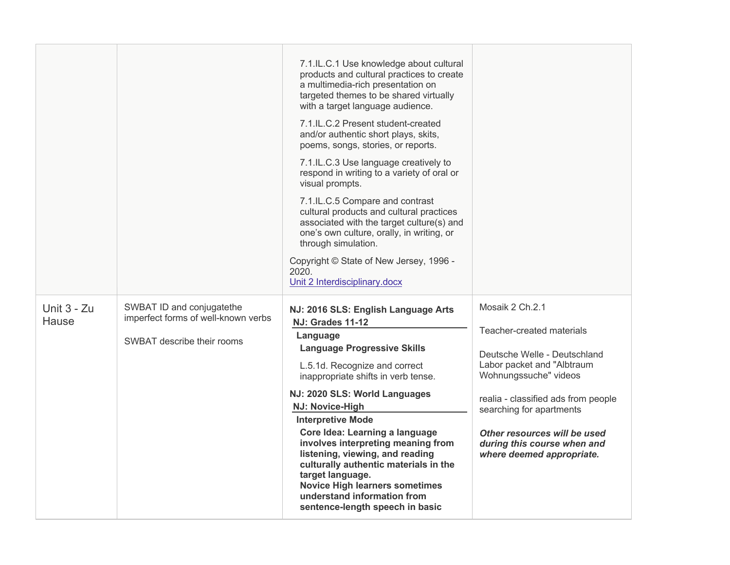|                             |                                                                                                | 7.1.IL.C.1 Use knowledge about cultural<br>products and cultural practices to create<br>a multimedia-rich presentation on<br>targeted themes to be shared virtually<br>with a target language audience.<br>7.1.IL.C.2 Present student-created<br>and/or authentic short plays, skits,<br>poems, songs, stories, or reports.<br>7.1.IL.C.3 Use language creatively to<br>respond in writing to a variety of oral or<br>visual prompts.<br>7.1.IL.C.5 Compare and contrast<br>cultural products and cultural practices<br>associated with the target culture(s) and<br>one's own culture, orally, in writing, or<br>through simulation.<br>Copyright © State of New Jersey, 1996 -<br>2020.<br>Unit 2 Interdisciplinary.docx |                                                                                                                                                                                                                                                                                                    |
|-----------------------------|------------------------------------------------------------------------------------------------|----------------------------------------------------------------------------------------------------------------------------------------------------------------------------------------------------------------------------------------------------------------------------------------------------------------------------------------------------------------------------------------------------------------------------------------------------------------------------------------------------------------------------------------------------------------------------------------------------------------------------------------------------------------------------------------------------------------------------|----------------------------------------------------------------------------------------------------------------------------------------------------------------------------------------------------------------------------------------------------------------------------------------------------|
| Unit 3 - Zu<br><b>Hause</b> | SWBAT ID and conjugatethe<br>imperfect forms of well-known verbs<br>SWBAT describe their rooms | NJ: 2016 SLS: English Language Arts<br><b>NJ: Grades 11-12</b><br>Language<br><b>Language Progressive Skills</b><br>L.5.1d. Recognize and correct<br>inappropriate shifts in verb tense.<br>NJ: 2020 SLS: World Languages<br><b>NJ: Novice-High</b><br><b>Interpretive Mode</b><br>Core Idea: Learning a language<br>involves interpreting meaning from<br>listening, viewing, and reading<br>culturally authentic materials in the<br>target language.<br><b>Novice High learners sometimes</b><br>understand information from<br>sentence-length speech in basic                                                                                                                                                         | Mosaik 2 Ch.2.1<br>Teacher-created materials<br>Deutsche Welle - Deutschland<br>Labor packet and "Albtraum<br>Wohnungssuche" videos<br>realia - classified ads from people<br>searching for apartments<br>Other resources will be used<br>during this course when and<br>where deemed appropriate. |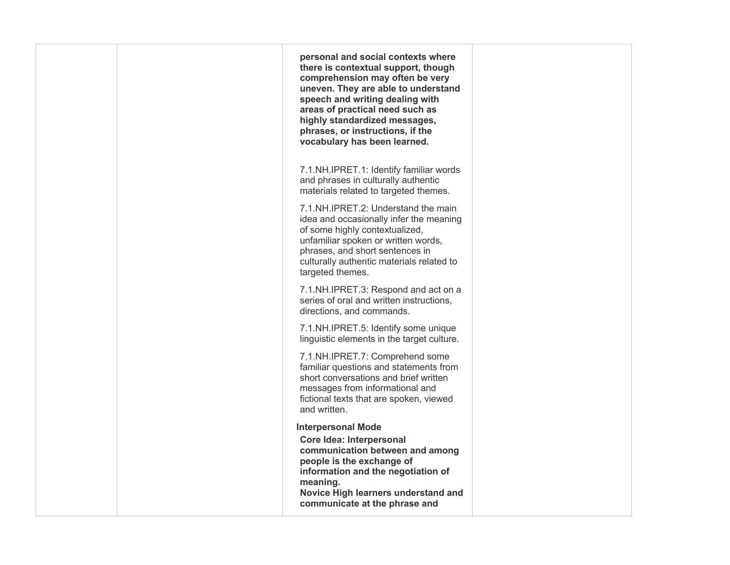|  | personal and social contexts where<br>there is contextual support, though<br>comprehension may often be very<br>uneven. They are able to understand<br>speech and writing dealing with<br>areas of practical need such as<br>highly standardized messages,<br>phrases, or instructions, if the<br>vocabulary has been learned. |  |
|--|--------------------------------------------------------------------------------------------------------------------------------------------------------------------------------------------------------------------------------------------------------------------------------------------------------------------------------|--|
|  | 7.1.NH.IPRET.1: Identify familiar words<br>and phrases in culturally authentic<br>materials related to targeted themes.                                                                                                                                                                                                        |  |
|  | 7.1.NH.IPRET.2: Understand the main<br>idea and occasionally infer the meaning<br>of some highly contextualized,<br>unfamiliar spoken or written words,<br>phrases, and short sentences in<br>culturally authentic materials related to<br>targeted themes.                                                                    |  |
|  | 7.1.NH.IPRET.3: Respond and act on a<br>series of oral and written instructions,<br>directions, and commands.                                                                                                                                                                                                                  |  |
|  | 7.1.NH.IPRET.5: Identify some unique<br>linguistic elements in the target culture.                                                                                                                                                                                                                                             |  |
|  | 7.1.NH.IPRET.7: Comprehend some<br>familiar questions and statements from<br>short conversations and brief written<br>messages from informational and<br>fictional texts that are spoken, viewed<br>and written.                                                                                                               |  |
|  | <b>Interpersonal Mode</b><br>Core Idea: Interpersonal<br>communication between and among<br>people is the exchange of<br>information and the negotiation of<br>meaning.<br>Novice High learners understand and<br>communicate at the phrase and                                                                                |  |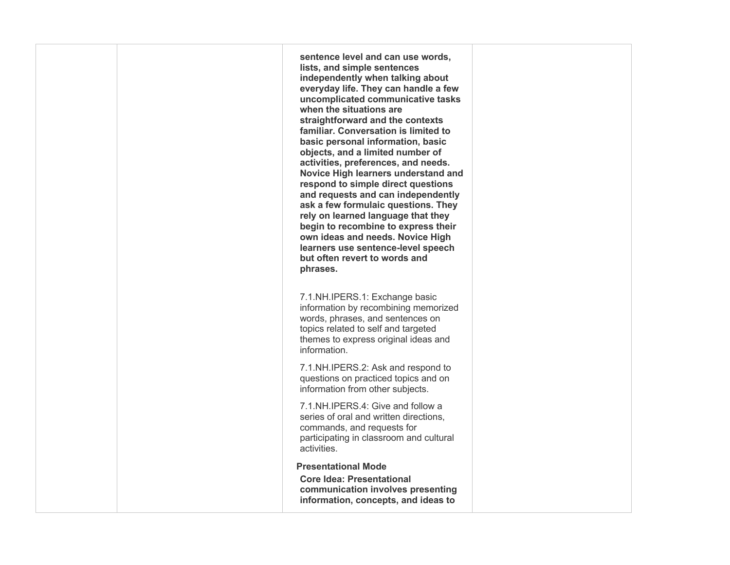**sentence level and can use words, everyday life. They can handle a few uncomplicated communicative tasks when the situations are straightforward and the contexts basic personal information, basic objects, and a limited number of activities, preferences, and needs. Novice High learners understand and respond to simple direct questions and requests and can independently rely on learned language that they begin to recombine to express their but often revert to words and lists, and simple sentences independently when talking about familiar. Conversation is limited to ask a few formulaic questions. They own ideas and needs. Novice High learners use sentence-level speech phrases.** 

 information by recombining memorized words, phrases, and sentences on 7.1.NH.IPERS.1: Exchange basic topics related to self and targeted themes to express original ideas and information.

 information from other subjects. 7.1.NH.IPERS.2: Ask and respond to questions on practiced topics and on

 series of oral and written directions, 7.1.NH.IPERS.4: Give and follow a commands, and requests for participating in classroom and cultural activities.

## **Presentational Mode**

 **Core Idea: Presentational communication involves presenting information, concepts, and ideas to**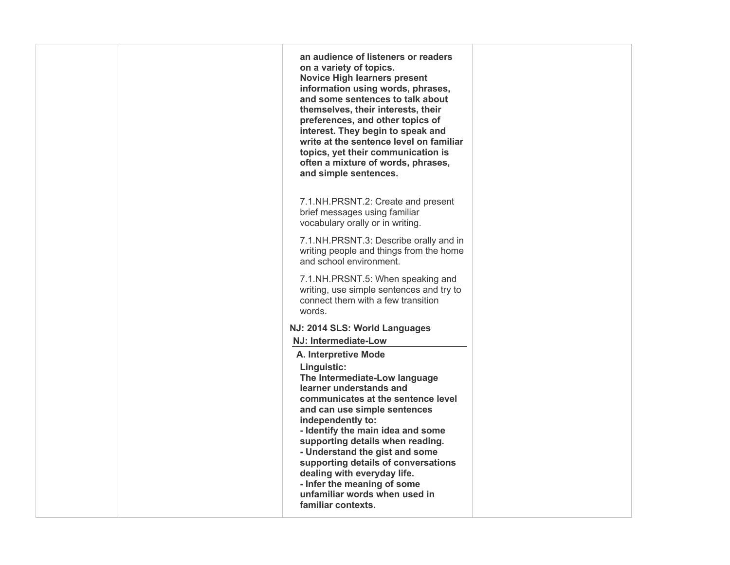| an audience of listeners or readers<br>on a variety of topics.<br><b>Novice High learners present</b><br>information using words, phrases,<br>and some sentences to talk about<br>themselves, their interests, their<br>preferences, and other topics of<br>interest. They begin to speak and<br>write at the sentence level on familiar<br>topics, yet their communication is<br>often a mixture of words, phrases,<br>and simple sentences.                     |  |
|-------------------------------------------------------------------------------------------------------------------------------------------------------------------------------------------------------------------------------------------------------------------------------------------------------------------------------------------------------------------------------------------------------------------------------------------------------------------|--|
| 7.1.NH.PRSNT.2: Create and present<br>brief messages using familiar<br>vocabulary orally or in writing.                                                                                                                                                                                                                                                                                                                                                           |  |
| 7.1.NH.PRSNT.3: Describe orally and in<br>writing people and things from the home<br>and school environment.                                                                                                                                                                                                                                                                                                                                                      |  |
| 7.1.NH.PRSNT.5: When speaking and<br>writing, use simple sentences and try to<br>connect them with a few transition<br>words.                                                                                                                                                                                                                                                                                                                                     |  |
| NJ: 2014 SLS: World Languages                                                                                                                                                                                                                                                                                                                                                                                                                                     |  |
| NJ: Intermediate-Low                                                                                                                                                                                                                                                                                                                                                                                                                                              |  |
| A. Interpretive Mode<br>Linguistic:<br>The Intermediate-Low language<br>learner understands and<br>communicates at the sentence level<br>and can use simple sentences<br>independently to:<br>- Identify the main idea and some<br>supporting details when reading.<br>- Understand the gist and some<br>supporting details of conversations<br>dealing with everyday life.<br>- Infer the meaning of some<br>unfamiliar words when used in<br>familiar contexts. |  |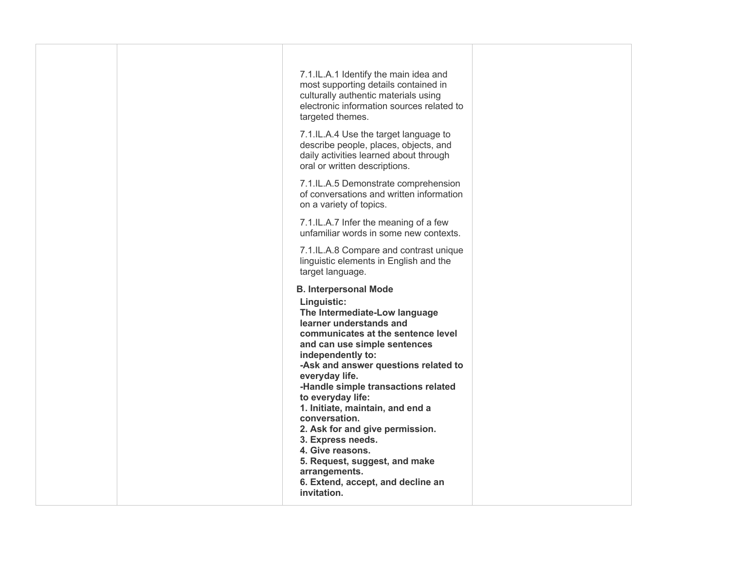| 7.1.IL.A.1 Identify the main idea and<br>most supporting details contained in<br>culturally authentic materials using<br>electronic information sources related to<br>targeted themes.                                                                                                                                                                                                                                                                                                                                                                          |  |
|-----------------------------------------------------------------------------------------------------------------------------------------------------------------------------------------------------------------------------------------------------------------------------------------------------------------------------------------------------------------------------------------------------------------------------------------------------------------------------------------------------------------------------------------------------------------|--|
| 7.1.IL.A.4 Use the target language to<br>describe people, places, objects, and<br>daily activities learned about through<br>oral or written descriptions.                                                                                                                                                                                                                                                                                                                                                                                                       |  |
| 7.1.IL.A.5 Demonstrate comprehension<br>of conversations and written information<br>on a variety of topics.                                                                                                                                                                                                                                                                                                                                                                                                                                                     |  |
| 7.1.IL.A.7 Infer the meaning of a few<br>unfamiliar words in some new contexts.                                                                                                                                                                                                                                                                                                                                                                                                                                                                                 |  |
| 7.1.IL.A.8 Compare and contrast unique<br>linguistic elements in English and the<br>target language.                                                                                                                                                                                                                                                                                                                                                                                                                                                            |  |
| <b>B. Interpersonal Mode</b><br>Linguistic:<br>The Intermediate-Low language<br>learner understands and<br>communicates at the sentence level<br>and can use simple sentences<br>independently to:<br>-Ask and answer questions related to<br>everyday life.<br>-Handle simple transactions related<br>to everyday life:<br>1. Initiate, maintain, and end a<br>conversation.<br>2. Ask for and give permission.<br>3. Express needs.<br>4. Give reasons.<br>5. Request, suggest, and make<br>arrangements.<br>6. Extend, accept, and decline an<br>invitation. |  |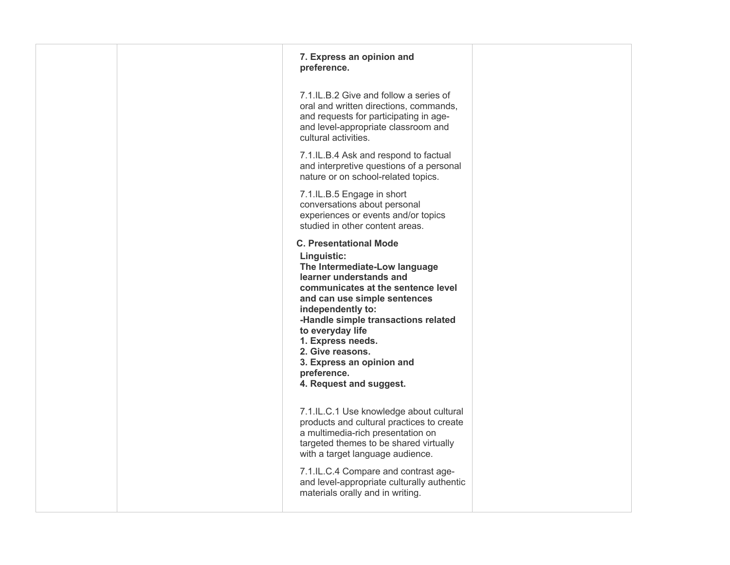| 7. Express an opinion and<br>preference.                                                                                                                                                                                                                                                                                                                                       |  |
|--------------------------------------------------------------------------------------------------------------------------------------------------------------------------------------------------------------------------------------------------------------------------------------------------------------------------------------------------------------------------------|--|
| 7.1.IL.B.2 Give and follow a series of<br>oral and written directions, commands,<br>and requests for participating in age-<br>and level-appropriate classroom and<br>cultural activities.                                                                                                                                                                                      |  |
| 7.1.IL.B.4 Ask and respond to factual<br>and interpretive questions of a personal<br>nature or on school-related topics.                                                                                                                                                                                                                                                       |  |
| 7.1.IL.B.5 Engage in short<br>conversations about personal<br>experiences or events and/or topics<br>studied in other content areas.                                                                                                                                                                                                                                           |  |
| <b>C. Presentational Mode</b><br>Linguistic:<br>The Intermediate-Low language<br>learner understands and<br>communicates at the sentence level<br>and can use simple sentences<br>independently to:<br>-Handle simple transactions related<br>to everyday life<br>1. Express needs.<br>2. Give reasons.<br>3. Express an opinion and<br>preference.<br>4. Request and suggest. |  |
| 7.1.IL.C.1 Use knowledge about cultural<br>products and cultural practices to create<br>a multimedia-rich presentation on<br>targeted themes to be shared virtually<br>with a target language audience.                                                                                                                                                                        |  |
| 7.1.IL.C.4 Compare and contrast age-<br>and level-appropriate culturally authentic<br>materials orally and in writing.                                                                                                                                                                                                                                                         |  |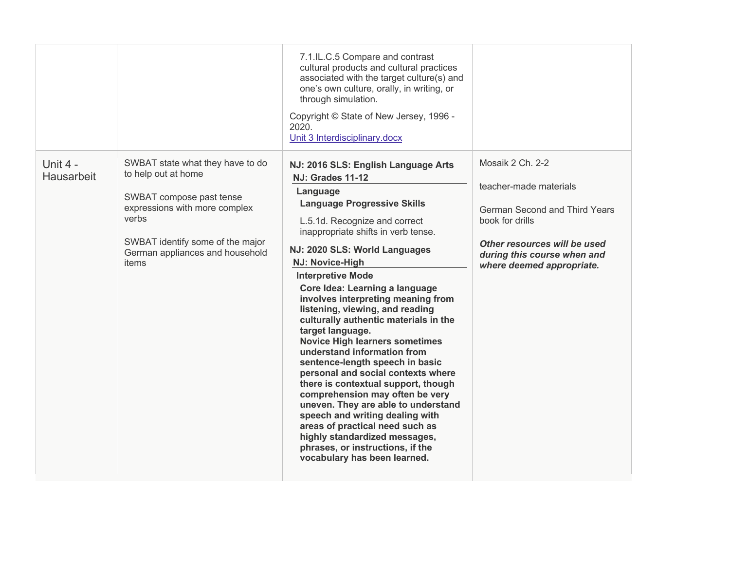|                        |                                                                                                                                                                                                               | 7.1.IL.C.5 Compare and contrast<br>cultural products and cultural practices<br>associated with the target culture(s) and<br>one's own culture, orally, in writing, or<br>through simulation.<br>Copyright © State of New Jersey, 1996 -<br>2020.<br>Unit 3 Interdisciplinary.docx                                                                                                                                                                                                                                                                                                                                                                                                                                                                                                                                                                                                             |                                                                                                                                                                                                   |
|------------------------|---------------------------------------------------------------------------------------------------------------------------------------------------------------------------------------------------------------|-----------------------------------------------------------------------------------------------------------------------------------------------------------------------------------------------------------------------------------------------------------------------------------------------------------------------------------------------------------------------------------------------------------------------------------------------------------------------------------------------------------------------------------------------------------------------------------------------------------------------------------------------------------------------------------------------------------------------------------------------------------------------------------------------------------------------------------------------------------------------------------------------|---------------------------------------------------------------------------------------------------------------------------------------------------------------------------------------------------|
| Unit 4 -<br>Hausarbeit | SWBAT state what they have to do<br>to help out at home<br>SWBAT compose past tense<br>expressions with more complex<br>verbs<br>SWBAT identify some of the major<br>German appliances and household<br>items | NJ: 2016 SLS: English Language Arts<br><b>NJ: Grades 11-12</b><br>Language<br><b>Language Progressive Skills</b><br>L.5.1d. Recognize and correct<br>inappropriate shifts in verb tense.<br>NJ: 2020 SLS: World Languages<br>NJ: Novice-High<br><b>Interpretive Mode</b><br>Core Idea: Learning a language<br>involves interpreting meaning from<br>listening, viewing, and reading<br>culturally authentic materials in the<br>target language.<br><b>Novice High learners sometimes</b><br>understand information from<br>sentence-length speech in basic<br>personal and social contexts where<br>there is contextual support, though<br>comprehension may often be very<br>uneven. They are able to understand<br>speech and writing dealing with<br>areas of practical need such as<br>highly standardized messages,<br>phrases, or instructions, if the<br>vocabulary has been learned. | Mosaik 2 Ch. 2-2<br>teacher-made materials<br><b>German Second and Third Years</b><br>book for drills<br>Other resources will be used<br>during this course when and<br>where deemed appropriate. |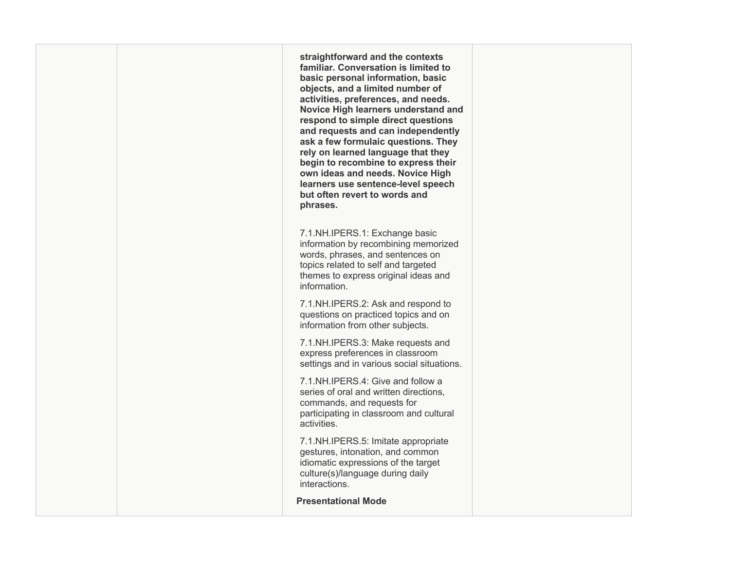**straightforward and the contexts basic personal information, basic objects, and a limited number of activities, preferences, and needs. Novice High learners understand and respond to simple direct questions and requests and can independently rely on learned language that they begin to recombine to express their but often revert to words and familiar. Conversation is limited to ask a few formulaic questions. They own ideas and needs. Novice High learners use sentence-level speech phrases.** 

 information by recombining memorized words, phrases, and sentences on 7.1.NH.IPERS.1: Exchange basic topics related to self and targeted themes to express original ideas and information.

 information from other subjects. 7.1.NH.IPERS.2: Ask and respond to questions on practiced topics and on

7.1.NH.IPERS.3: Make requests and express preferences in classroom settings and in various social situations.

 series of oral and written directions, 7.1.NH.IPERS.4: Give and follow a commands, and requests for participating in classroom and cultural activities.

 gestures, intonation, and common idiomatic expressions of the target 7.1.NH.IPERS.5: Imitate appropriate culture(s)/language during daily interactions.

**Presentational Mode**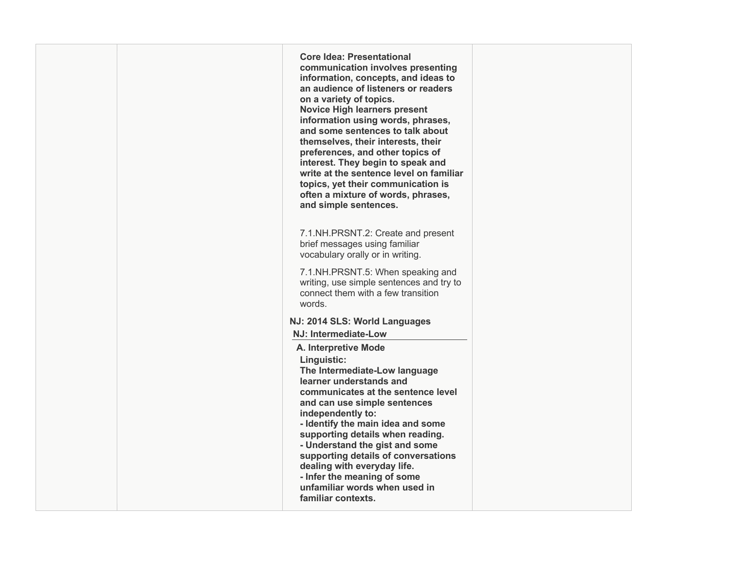**Core Idea: Presentational Novice High learners present and some sentences to talk about preferences, and other topics of write at the sentence level on familiar topics, yet their communication is often a mixture of words, phrases,** writing, use simple sentences and try to connect them with a few transition  **NJ: 2014 SLS: World Languages The Intermediate-Low language and can use simple sentences - Understand the gist and some supporting details of conversations dealing with everyday life. unfamiliar words when used in communication involves presenting information, concepts, and ideas to an audience of listeners or readers on a variety of topics. information using words, phrases, themselves, their interests, their interest. They begin to speak and and simple sentences.**  7.1.NH.PRSNT.2: Create and present brief messages using familiar vocabulary orally or in writing. 7.1.NH.PRSNT.5: When speaking and words. **NJ: Intermediate-Low A. Interpretive Mode Linguistic: learner understands and communicates at the sentence level independently to: - Identify the main idea and some supporting details when reading. - Infer the meaning of some familiar contexts.**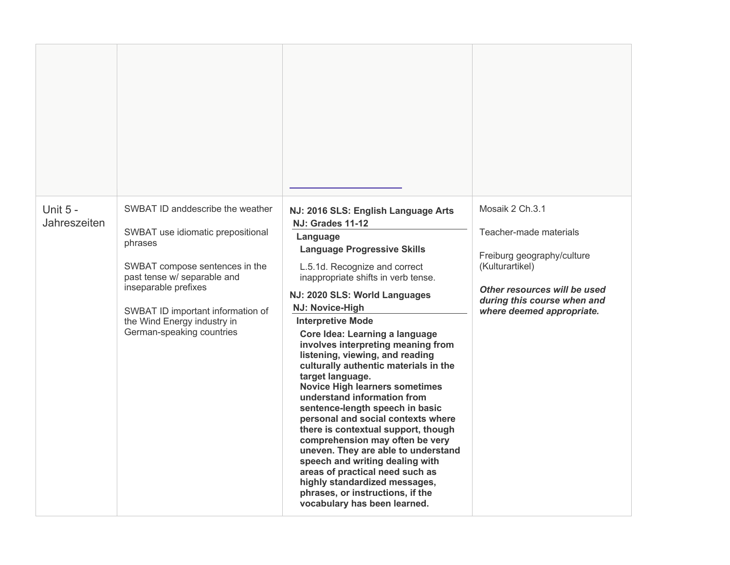| Unit 5 -<br>Jahreszeiten | SWBAT ID anddescribe the weather<br>SWBAT use idiomatic prepositional<br>phrases<br>SWBAT compose sentences in the<br>past tense w/ separable and<br>inseparable prefixes<br>SWBAT ID important information of<br>the Wind Energy industry in<br>German-speaking countries | NJ: 2016 SLS: English Language Arts<br><b>NJ: Grades 11-12</b><br>Language<br><b>Language Progressive Skills</b><br>L.5.1d. Recognize and correct<br>inappropriate shifts in verb tense.<br>NJ: 2020 SLS: World Languages<br>NJ: Novice-High<br><b>Interpretive Mode</b><br>Core Idea: Learning a language<br>involves interpreting meaning from<br>listening, viewing, and reading<br>culturally authentic materials in the<br>target language.<br><b>Novice High learners sometimes</b><br>understand information from<br>sentence-length speech in basic<br>personal and social contexts where<br>there is contextual support, though<br>comprehension may often be very<br>uneven. They are able to understand<br>speech and writing dealing with<br>areas of practical need such as<br>highly standardized messages,<br>phrases, or instructions, if the<br>vocabulary has been learned. | Mosaik 2 Ch.3.1<br>Teacher-made materials<br>Freiburg geography/culture<br>(Kulturartikel)<br>Other resources will be used<br>during this course when and<br>where deemed appropriate. |
|--------------------------|----------------------------------------------------------------------------------------------------------------------------------------------------------------------------------------------------------------------------------------------------------------------------|-----------------------------------------------------------------------------------------------------------------------------------------------------------------------------------------------------------------------------------------------------------------------------------------------------------------------------------------------------------------------------------------------------------------------------------------------------------------------------------------------------------------------------------------------------------------------------------------------------------------------------------------------------------------------------------------------------------------------------------------------------------------------------------------------------------------------------------------------------------------------------------------------|----------------------------------------------------------------------------------------------------------------------------------------------------------------------------------------|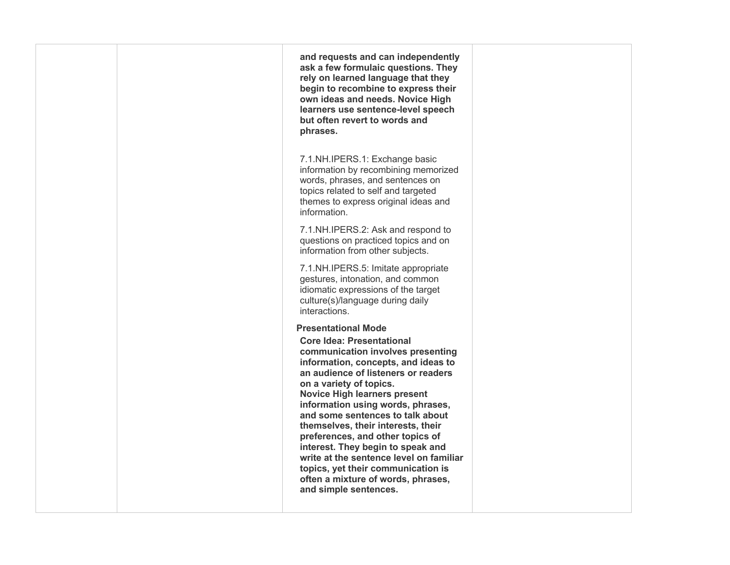| and requests and can independently<br>ask a few formulaic questions. They<br>rely on learned language that they<br>begin to recombine to express their<br>own ideas and needs. Novice High<br>learners use sentence-level speech<br>but often revert to words and<br>phrases.                                                                                                                                                                                                                                                                                                               |  |
|---------------------------------------------------------------------------------------------------------------------------------------------------------------------------------------------------------------------------------------------------------------------------------------------------------------------------------------------------------------------------------------------------------------------------------------------------------------------------------------------------------------------------------------------------------------------------------------------|--|
| 7.1.NH.IPERS.1: Exchange basic<br>information by recombining memorized<br>words, phrases, and sentences on<br>topics related to self and targeted<br>themes to express original ideas and<br>information.                                                                                                                                                                                                                                                                                                                                                                                   |  |
| 7.1.NH.IPERS.2: Ask and respond to<br>questions on practiced topics and on<br>information from other subjects.                                                                                                                                                                                                                                                                                                                                                                                                                                                                              |  |
| 7.1.NH.IPERS.5: Imitate appropriate<br>gestures, intonation, and common<br>idiomatic expressions of the target<br>culture(s)/language during daily<br>interactions.                                                                                                                                                                                                                                                                                                                                                                                                                         |  |
| <b>Presentational Mode</b><br><b>Core Idea: Presentational</b><br>communication involves presenting<br>information, concepts, and ideas to<br>an audience of listeners or readers<br>on a variety of topics.<br><b>Novice High learners present</b><br>information using words, phrases,<br>and some sentences to talk about<br>themselves, their interests, their<br>preferences, and other topics of<br>interest. They begin to speak and<br>write at the sentence level on familiar<br>topics, yet their communication is<br>often a mixture of words, phrases,<br>and simple sentences. |  |
|                                                                                                                                                                                                                                                                                                                                                                                                                                                                                                                                                                                             |  |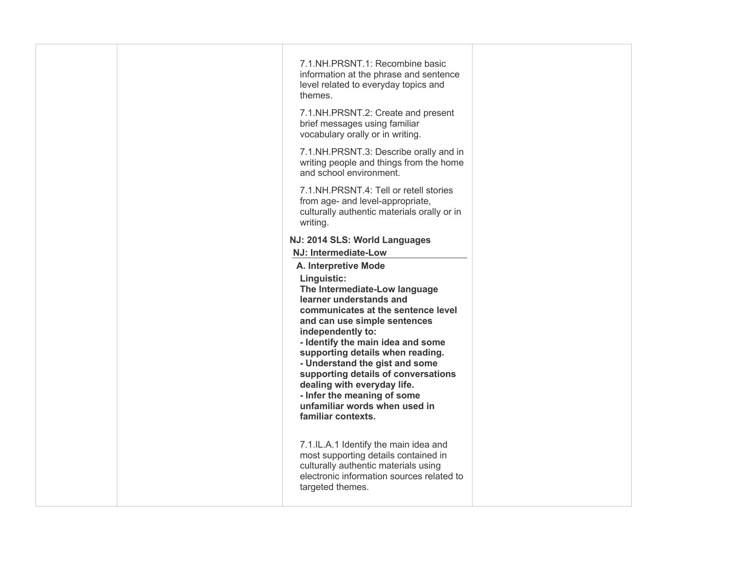| 7.1.NH.PRSNT.1: Recombine basic<br>information at the phrase and sentence<br>level related to everyday topics and<br>themes.                                                                                                                                                                                                                                                                                                              |
|-------------------------------------------------------------------------------------------------------------------------------------------------------------------------------------------------------------------------------------------------------------------------------------------------------------------------------------------------------------------------------------------------------------------------------------------|
| 7.1.NH.PRSNT.2: Create and present<br>brief messages using familiar<br>vocabulary orally or in writing.                                                                                                                                                                                                                                                                                                                                   |
| 7.1.NH.PRSNT.3: Describe orally and in<br>writing people and things from the home<br>and school environment.                                                                                                                                                                                                                                                                                                                              |
| 7.1.NH.PRSNT.4: Tell or retell stories<br>from age- and level-appropriate,<br>culturally authentic materials orally or in<br>writing.                                                                                                                                                                                                                                                                                                     |
| NJ: 2014 SLS: World Languages                                                                                                                                                                                                                                                                                                                                                                                                             |
| NJ: Intermediate-Low<br>A. Interpretive Mode                                                                                                                                                                                                                                                                                                                                                                                              |
| Linguistic:<br>The Intermediate-Low language<br>learner understands and<br>communicates at the sentence level<br>and can use simple sentences<br>independently to:<br>- Identify the main idea and some<br>supporting details when reading.<br>- Understand the gist and some<br>supporting details of conversations<br>dealing with everyday life.<br>- Infer the meaning of some<br>unfamiliar words when used in<br>familiar contexts. |
| 7.1.IL.A.1 Identify the main idea and<br>most supporting details contained in<br>culturally authentic materials using<br>electronic information sources related to<br>targeted themes.                                                                                                                                                                                                                                                    |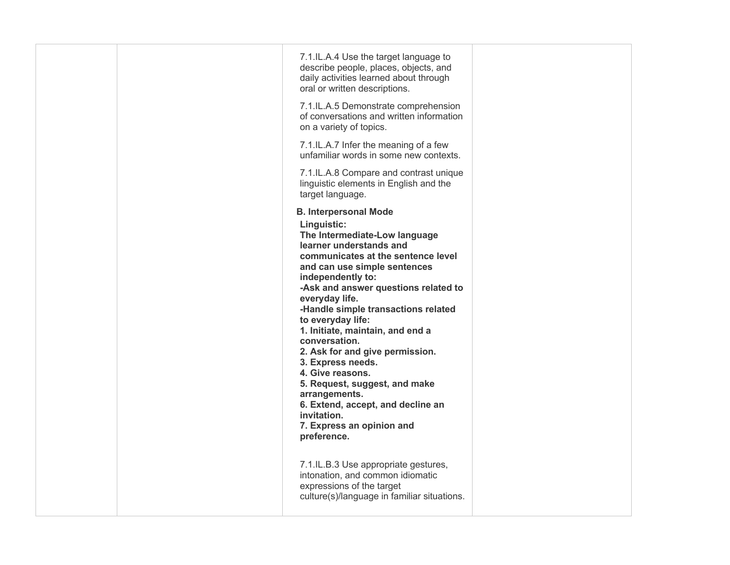|  | 7.1.IL.A.4 Use the target language to<br>describe people, places, objects, and<br>daily activities learned about through<br>oral or written descriptions.                                                                                                                                                                                                                                                                                                                                                                                                                                                                                           |  |
|--|-----------------------------------------------------------------------------------------------------------------------------------------------------------------------------------------------------------------------------------------------------------------------------------------------------------------------------------------------------------------------------------------------------------------------------------------------------------------------------------------------------------------------------------------------------------------------------------------------------------------------------------------------------|--|
|  | 7.1.IL.A.5 Demonstrate comprehension<br>of conversations and written information<br>on a variety of topics.                                                                                                                                                                                                                                                                                                                                                                                                                                                                                                                                         |  |
|  | 7.1.IL.A.7 Infer the meaning of a few<br>unfamiliar words in some new contexts.                                                                                                                                                                                                                                                                                                                                                                                                                                                                                                                                                                     |  |
|  | 7.1.IL.A.8 Compare and contrast unique<br>linguistic elements in English and the<br>target language.                                                                                                                                                                                                                                                                                                                                                                                                                                                                                                                                                |  |
|  | <b>B. Interpersonal Mode</b><br>Linguistic:<br>The Intermediate-Low language<br>learner understands and<br>communicates at the sentence level<br>and can use simple sentences<br>independently to:<br>-Ask and answer questions related to<br>everyday life.<br>-Handle simple transactions related<br>to everyday life:<br>1. Initiate, maintain, and end a<br>conversation.<br>2. Ask for and give permission.<br>3. Express needs.<br>4. Give reasons.<br>5. Request, suggest, and make<br>arrangements.<br>6. Extend, accept, and decline an<br>invitation.<br>7. Express an opinion and<br>preference.<br>7.1.IL.B.3 Use appropriate gestures, |  |
|  | intonation, and common idiomatic<br>expressions of the target<br>culture(s)/language in familiar situations.                                                                                                                                                                                                                                                                                                                                                                                                                                                                                                                                        |  |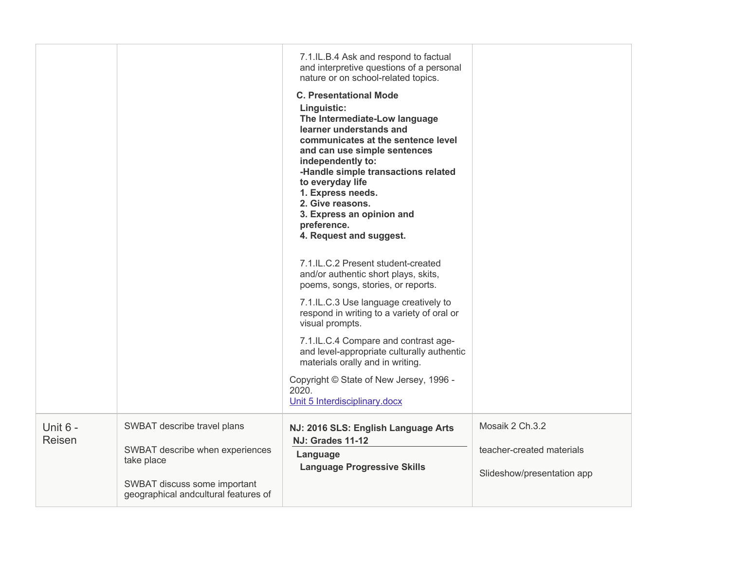|                    |                                                                      | 7.1.IL.B.4 Ask and respond to factual<br>and interpretive questions of a personal<br>nature or on school-related topics.<br><b>C. Presentational Mode</b><br>Linguistic:<br>The Intermediate-Low language<br>learner understands and<br>communicates at the sentence level<br>and can use simple sentences<br>independently to:<br>-Handle simple transactions related<br>to everyday life<br>1. Express needs.<br>2. Give reasons.<br>3. Express an opinion and<br>preference.<br>4. Request and suggest. |                            |
|--------------------|----------------------------------------------------------------------|------------------------------------------------------------------------------------------------------------------------------------------------------------------------------------------------------------------------------------------------------------------------------------------------------------------------------------------------------------------------------------------------------------------------------------------------------------------------------------------------------------|----------------------------|
|                    |                                                                      | 7.1.IL.C.2 Present student-created<br>and/or authentic short plays, skits,<br>poems, songs, stories, or reports.                                                                                                                                                                                                                                                                                                                                                                                           |                            |
|                    |                                                                      | 7.1.IL.C.3 Use language creatively to<br>respond in writing to a variety of oral or<br>visual prompts.                                                                                                                                                                                                                                                                                                                                                                                                     |                            |
|                    |                                                                      | 7.1.IL.C.4 Compare and contrast age-<br>and level-appropriate culturally authentic<br>materials orally and in writing.                                                                                                                                                                                                                                                                                                                                                                                     |                            |
|                    |                                                                      | Copyright © State of New Jersey, 1996 -<br>2020.<br>Unit 5 Interdisciplinary.docx                                                                                                                                                                                                                                                                                                                                                                                                                          |                            |
| Unit 6 -<br>Reisen | SWBAT describe travel plans                                          | NJ: 2016 SLS: English Language Arts<br><b>NJ: Grades 11-12</b>                                                                                                                                                                                                                                                                                                                                                                                                                                             | Mosaik 2 Ch.3.2            |
|                    | SWBAT describe when experiences<br>take place                        | Language<br><b>Language Progressive Skills</b>                                                                                                                                                                                                                                                                                                                                                                                                                                                             | teacher-created materials  |
|                    | SWBAT discuss some important<br>geographical andcultural features of |                                                                                                                                                                                                                                                                                                                                                                                                                                                                                                            | Slideshow/presentation app |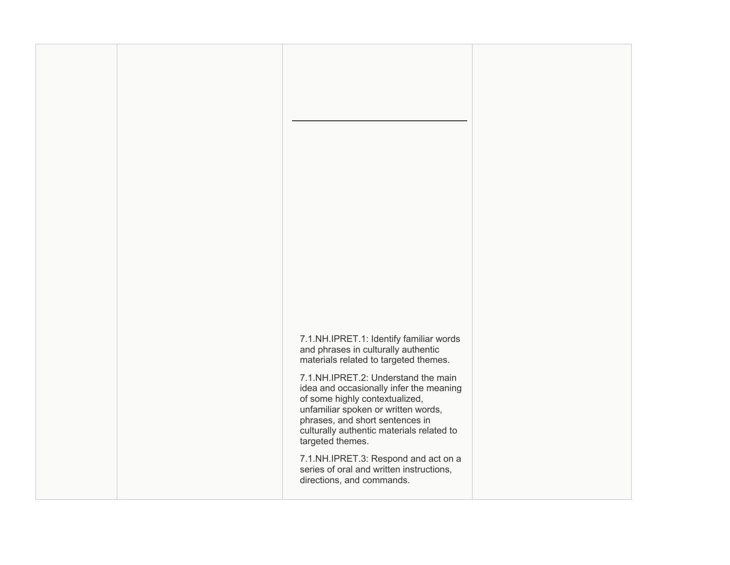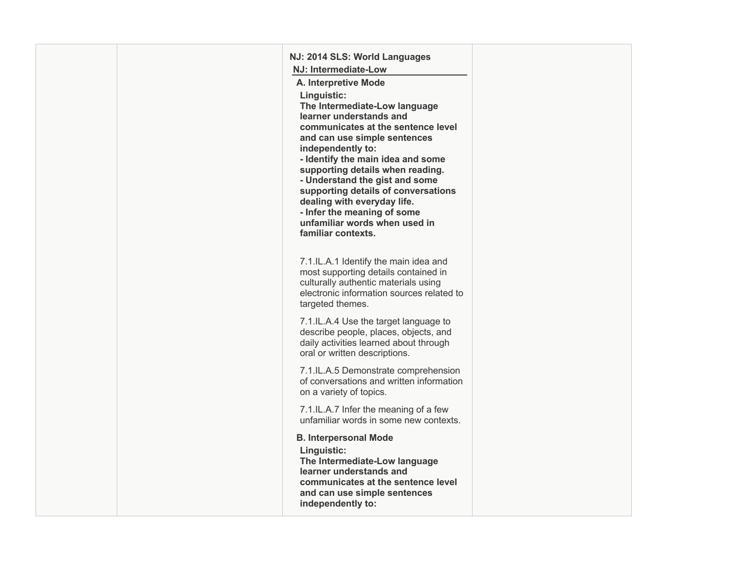| NJ: 2014 SLS: World Languages                                                                                                                                                                                                                                                                                                                                                                                                             |  |
|-------------------------------------------------------------------------------------------------------------------------------------------------------------------------------------------------------------------------------------------------------------------------------------------------------------------------------------------------------------------------------------------------------------------------------------------|--|
| NJ: Intermediate-Low                                                                                                                                                                                                                                                                                                                                                                                                                      |  |
| A. Interpretive Mode                                                                                                                                                                                                                                                                                                                                                                                                                      |  |
| Linguistic:<br>The Intermediate-Low language<br>learner understands and<br>communicates at the sentence level<br>and can use simple sentences<br>independently to:<br>- Identify the main idea and some<br>supporting details when reading.<br>- Understand the gist and some<br>supporting details of conversations<br>dealing with everyday life.<br>- Infer the meaning of some<br>unfamiliar words when used in<br>familiar contexts. |  |
| 7.1.IL.A.1 Identify the main idea and<br>most supporting details contained in<br>culturally authentic materials using<br>electronic information sources related to<br>targeted themes.                                                                                                                                                                                                                                                    |  |
| 7.1.IL.A.4 Use the target language to<br>describe people, places, objects, and<br>daily activities learned about through<br>oral or written descriptions.                                                                                                                                                                                                                                                                                 |  |
| 7.1.IL.A.5 Demonstrate comprehension<br>of conversations and written information<br>on a variety of topics.                                                                                                                                                                                                                                                                                                                               |  |
| 7.1.IL.A.7 Infer the meaning of a few<br>unfamiliar words in some new contexts.                                                                                                                                                                                                                                                                                                                                                           |  |
| <b>B. Interpersonal Mode</b><br>Linguistic:<br>The Intermediate-Low language<br>learner understands and<br>communicates at the sentence level<br>and can use simple sentences<br>independently to:                                                                                                                                                                                                                                        |  |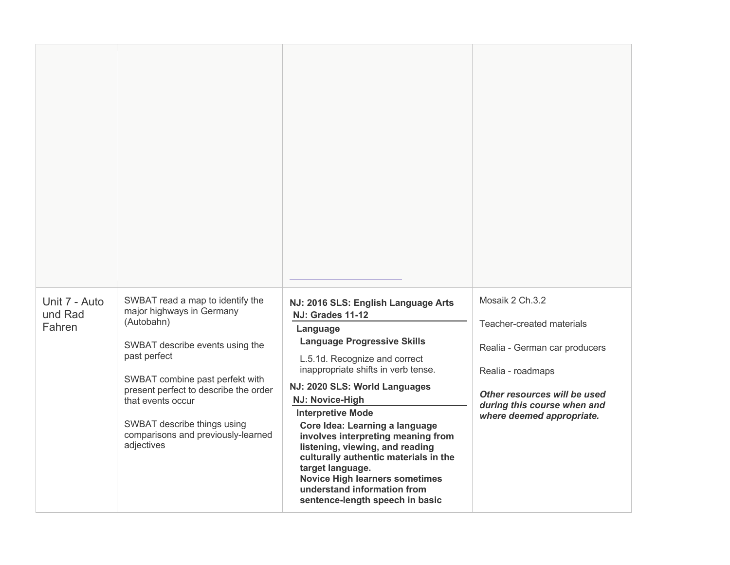| Unit 7 - Auto<br>und Rad<br>Fahren | SWBAT read a map to identify the<br>major highways in Germany<br>(Autobahn)<br>SWBAT describe events using the<br>past perfect<br>SWBAT combine past perfekt with<br>present perfect to describe the order<br>that events occur<br>SWBAT describe things using<br>comparisons and previously-learned<br>adjectives | NJ: 2016 SLS: English Language Arts<br><b>NJ: Grades 11-12</b><br>Language<br><b>Language Progressive Skills</b><br>L.5.1d. Recognize and correct<br>inappropriate shifts in verb tense.<br>NJ: 2020 SLS: World Languages<br>NJ: Novice-High<br><b>Interpretive Mode</b><br>Core Idea: Learning a language<br>involves interpreting meaning from<br>listening, viewing, and reading<br>culturally authentic materials in the<br>target language.<br><b>Novice High learners sometimes</b><br>understand information from<br>sentence-length speech in basic | Mosaik 2 Ch.3.2<br>Teacher-created materials<br>Realia - German car producers<br>Realia - roadmaps<br>Other resources will be used<br>during this course when and<br>where deemed appropriate. |
|------------------------------------|--------------------------------------------------------------------------------------------------------------------------------------------------------------------------------------------------------------------------------------------------------------------------------------------------------------------|-------------------------------------------------------------------------------------------------------------------------------------------------------------------------------------------------------------------------------------------------------------------------------------------------------------------------------------------------------------------------------------------------------------------------------------------------------------------------------------------------------------------------------------------------------------|------------------------------------------------------------------------------------------------------------------------------------------------------------------------------------------------|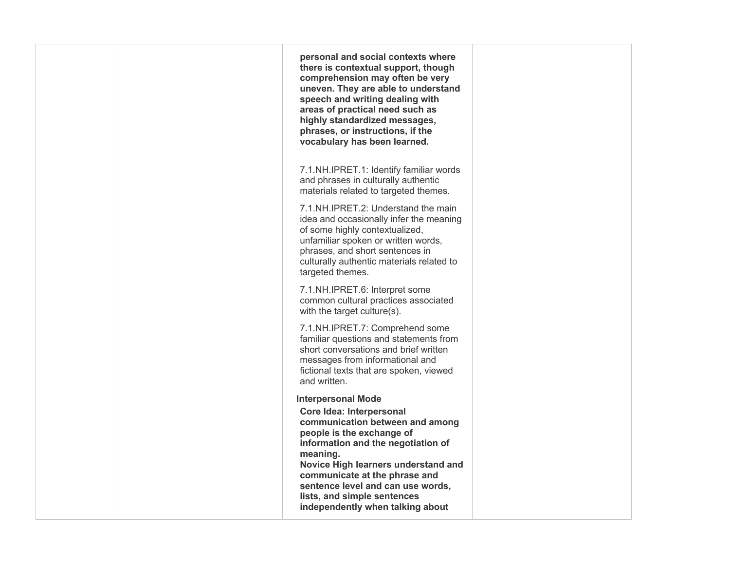|  | personal and social contexts where<br>there is contextual support, though<br>comprehension may often be very<br>uneven. They are able to understand<br>speech and writing dealing with<br>areas of practical need such as<br>highly standardized messages,<br>phrases, or instructions, if the<br>vocabulary has been learned. |  |
|--|--------------------------------------------------------------------------------------------------------------------------------------------------------------------------------------------------------------------------------------------------------------------------------------------------------------------------------|--|
|  | 7.1.NH.IPRET.1: Identify familiar words<br>and phrases in culturally authentic<br>materials related to targeted themes.                                                                                                                                                                                                        |  |
|  | 7.1. NH. IPRET. 2: Understand the main<br>idea and occasionally infer the meaning<br>of some highly contextualized,<br>unfamiliar spoken or written words,<br>phrases, and short sentences in<br>culturally authentic materials related to<br>targeted themes.                                                                 |  |
|  | 7.1.NH.IPRET.6: Interpret some<br>common cultural practices associated<br>with the target culture(s).                                                                                                                                                                                                                          |  |
|  | 7.1.NH.IPRET.7: Comprehend some<br>familiar questions and statements from<br>short conversations and brief written<br>messages from informational and<br>fictional texts that are spoken, viewed<br>and written.                                                                                                               |  |
|  | <b>Interpersonal Mode</b>                                                                                                                                                                                                                                                                                                      |  |
|  | Core Idea: Interpersonal<br>communication between and among<br>people is the exchange of<br>information and the negotiation of<br>meaning.<br>Novice High learners understand and<br>communicate at the phrase and<br>sentence level and can use words,<br>lists, and simple sentences<br>independently when talking about     |  |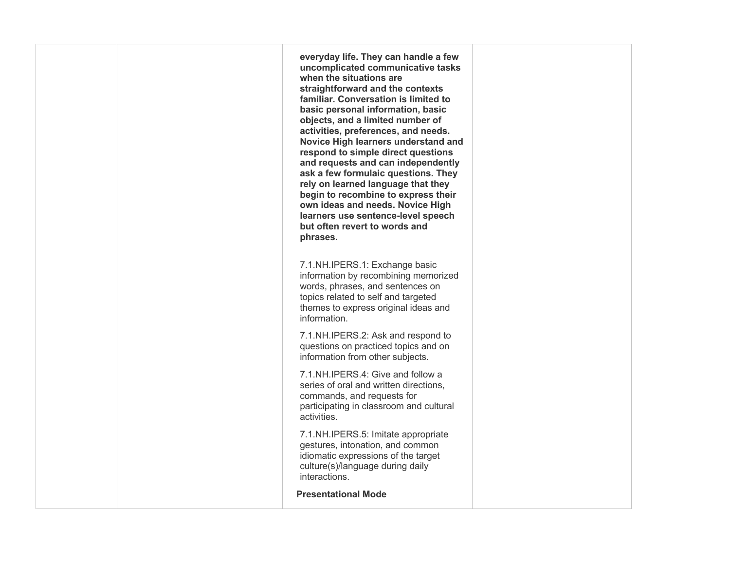**everyday life. They can handle a few uncomplicated communicative tasks when the situations are straightforward and the contexts basic personal information, basic objects, and a limited number of activities, preferences, and needs. Novice High learners understand and respond to simple direct questions and requests and can independently rely on learned language that they begin to recombine to express their own ideas and needs. Novice High but often revert to words and familiar. Conversation is limited to ask a few formulaic questions. They learners use sentence-level speech phrases.** 

 information by recombining memorized words, phrases, and sentences on 7.1.NH.IPERS.1: Exchange basic topics related to self and targeted themes to express original ideas and information.

 information from other subjects. 7.1.NH.IPERS.2: Ask and respond to questions on practiced topics and on

 series of oral and written directions, 7.1.NH.IPERS.4: Give and follow a commands, and requests for participating in classroom and cultural activities.

 gestures, intonation, and common idiomatic expressions of the target 7.1.NH.IPERS.5: Imitate appropriate culture(s)/language during daily interactions.

**Presentational Mode**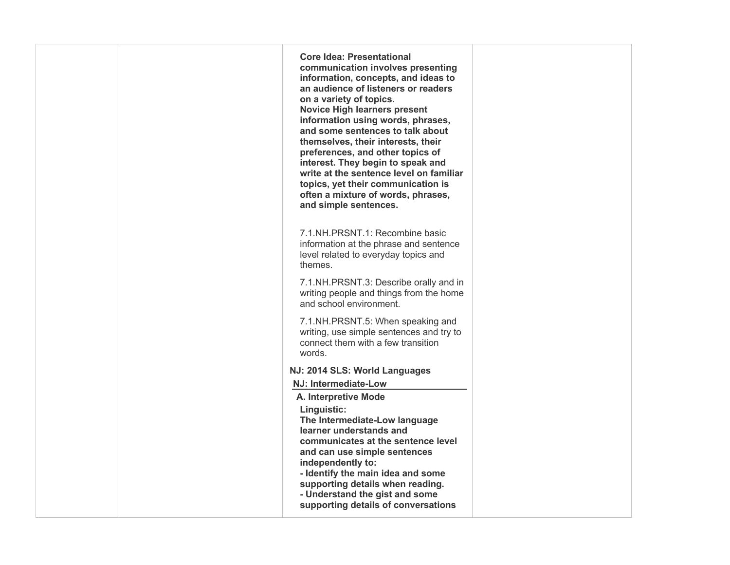| <b>Core Idea: Presentational</b><br>communication involves presenting<br>information, concepts, and ideas to<br>an audience of listeners or readers<br>on a variety of topics.<br><b>Novice High learners present</b><br>information using words, phrases,<br>and some sentences to talk about<br>themselves, their interests, their<br>preferences, and other topics of<br>interest. They begin to speak and<br>write at the sentence level on familiar<br>topics, yet their communication is<br>often a mixture of words, phrases,<br>and simple sentences. |                                               |
|---------------------------------------------------------------------------------------------------------------------------------------------------------------------------------------------------------------------------------------------------------------------------------------------------------------------------------------------------------------------------------------------------------------------------------------------------------------------------------------------------------------------------------------------------------------|-----------------------------------------------|
| 7.1.NH.PRSNT.1: Recombine basic<br>information at the phrase and sentence<br>level related to everyday topics and<br>themes.                                                                                                                                                                                                                                                                                                                                                                                                                                  |                                               |
| 7.1.NH.PRSNT.3: Describe orally and in<br>writing people and things from the home<br>and school environment.                                                                                                                                                                                                                                                                                                                                                                                                                                                  |                                               |
| 7.1.NH.PRSNT.5: When speaking and<br>writing, use simple sentences and try to<br>connect them with a few transition<br>words.                                                                                                                                                                                                                                                                                                                                                                                                                                 |                                               |
| NJ: 2014 SLS: World Languages                                                                                                                                                                                                                                                                                                                                                                                                                                                                                                                                 |                                               |
| NJ: Intermediate-Low                                                                                                                                                                                                                                                                                                                                                                                                                                                                                                                                          |                                               |
| A. Interpretive Mode                                                                                                                                                                                                                                                                                                                                                                                                                                                                                                                                          |                                               |
| The Intermediate-Low language<br>learner understands and<br>communicates at the sentence level<br>and can use simple sentences<br>independently to:<br>- Identify the main idea and some<br>supporting details when reading.                                                                                                                                                                                                                                                                                                                                  |                                               |
| supporting details of conversations                                                                                                                                                                                                                                                                                                                                                                                                                                                                                                                           |                                               |
|                                                                                                                                                                                                                                                                                                                                                                                                                                                                                                                                                               | Linguistic:<br>- Understand the gist and some |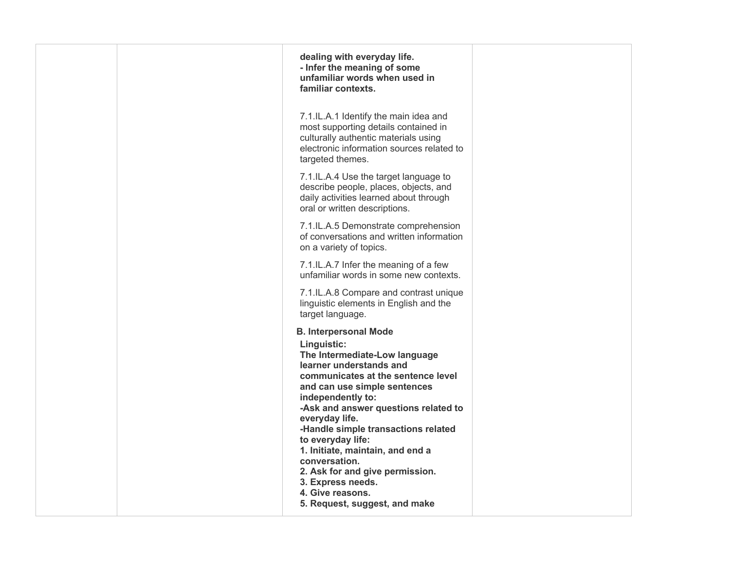| dealing with everyday life.<br>- Infer the meaning of some<br>unfamiliar words when used in<br>familiar contexts.                                                                                                                                                                                                                                                                                                                                                                          |  |
|--------------------------------------------------------------------------------------------------------------------------------------------------------------------------------------------------------------------------------------------------------------------------------------------------------------------------------------------------------------------------------------------------------------------------------------------------------------------------------------------|--|
| 7.1.IL.A.1 Identify the main idea and<br>most supporting details contained in<br>culturally authentic materials using<br>electronic information sources related to<br>targeted themes.                                                                                                                                                                                                                                                                                                     |  |
| 7.1.IL.A.4 Use the target language to<br>describe people, places, objects, and<br>daily activities learned about through<br>oral or written descriptions.                                                                                                                                                                                                                                                                                                                                  |  |
| 7.1.IL.A.5 Demonstrate comprehension<br>of conversations and written information<br>on a variety of topics.                                                                                                                                                                                                                                                                                                                                                                                |  |
| 7.1.IL.A.7 Infer the meaning of a few<br>unfamiliar words in some new contexts.                                                                                                                                                                                                                                                                                                                                                                                                            |  |
| 7.1.IL.A.8 Compare and contrast unique<br>linguistic elements in English and the<br>target language.                                                                                                                                                                                                                                                                                                                                                                                       |  |
| <b>B. Interpersonal Mode</b><br>Linguistic:<br>The Intermediate-Low language<br>learner understands and<br>communicates at the sentence level<br>and can use simple sentences<br>independently to:<br>-Ask and answer questions related to<br>everyday life.<br>-Handle simple transactions related<br>to everyday life:<br>1. Initiate, maintain, and end a<br>conversation.<br>2. Ask for and give permission.<br>3. Express needs.<br>4. Give reasons.<br>5. Request, suggest, and make |  |
|                                                                                                                                                                                                                                                                                                                                                                                                                                                                                            |  |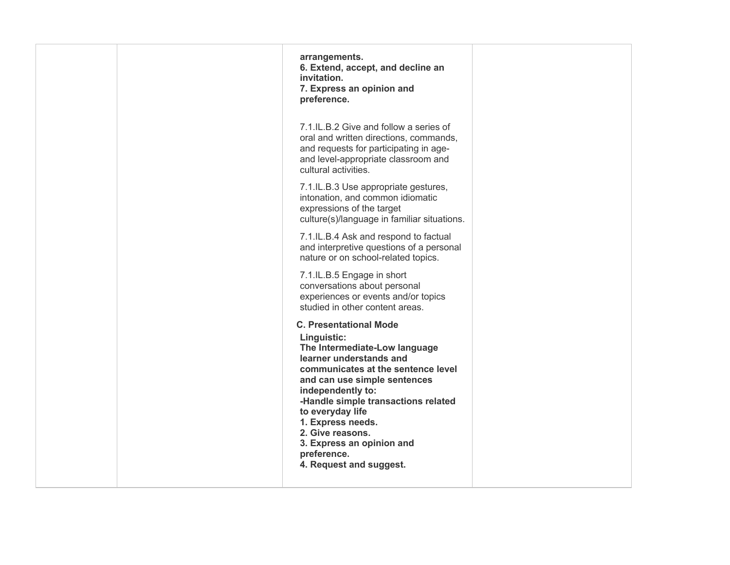| arrangements.<br>6. Extend, accept, and decline an<br>invitation.<br>7. Express an opinion and<br>preference.                                                                                                                                                                                                                                                                  |  |
|--------------------------------------------------------------------------------------------------------------------------------------------------------------------------------------------------------------------------------------------------------------------------------------------------------------------------------------------------------------------------------|--|
| 7.1.IL.B.2 Give and follow a series of<br>oral and written directions, commands,<br>and requests for participating in age-<br>and level-appropriate classroom and<br>cultural activities.                                                                                                                                                                                      |  |
| 7.1.IL.B.3 Use appropriate gestures,<br>intonation, and common idiomatic<br>expressions of the target<br>culture(s)/language in familiar situations.                                                                                                                                                                                                                           |  |
| 7.1.IL.B.4 Ask and respond to factual<br>and interpretive questions of a personal<br>nature or on school-related topics.                                                                                                                                                                                                                                                       |  |
| 7.1.IL.B.5 Engage in short<br>conversations about personal<br>experiences or events and/or topics<br>studied in other content areas.                                                                                                                                                                                                                                           |  |
| <b>C. Presentational Mode</b><br>Linguistic:<br>The Intermediate-Low language<br>learner understands and<br>communicates at the sentence level<br>and can use simple sentences<br>independently to:<br>-Handle simple transactions related<br>to everyday life<br>1. Express needs.<br>2. Give reasons.<br>3. Express an opinion and<br>preference.<br>4. Request and suggest. |  |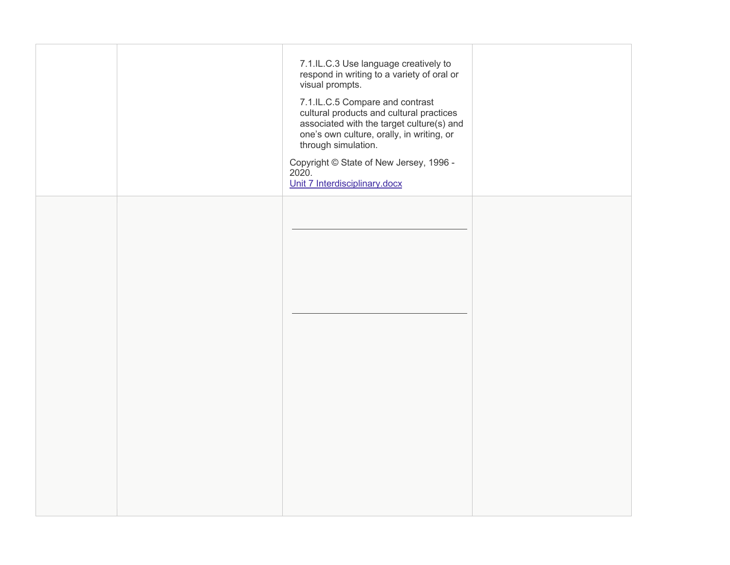|  | 7.1.IL.C.3 Use language creatively to<br>respond in writing to a variety of oral or<br>visual prompts.<br>7.1.IL.C.5 Compare and contrast<br>cultural products and cultural practices<br>associated with the target culture(s) and<br>one's own culture, orally, in writing, or<br>through simulation.<br>Copyright © State of New Jersey, 1996 -<br>2020.<br>Unit 7 Interdisciplinary.docx |  |
|--|---------------------------------------------------------------------------------------------------------------------------------------------------------------------------------------------------------------------------------------------------------------------------------------------------------------------------------------------------------------------------------------------|--|
|  |                                                                                                                                                                                                                                                                                                                                                                                             |  |
|  |                                                                                                                                                                                                                                                                                                                                                                                             |  |
|  |                                                                                                                                                                                                                                                                                                                                                                                             |  |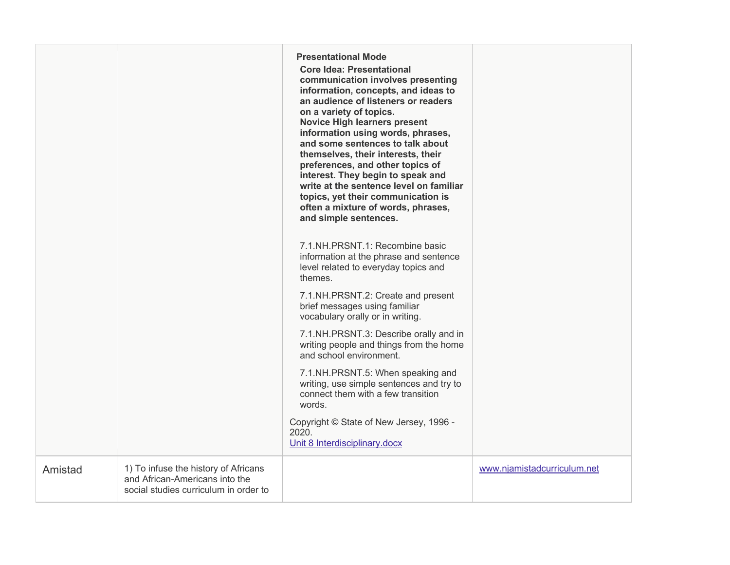|         |                                                                                                                 | <b>Presentational Mode</b><br><b>Core Idea: Presentational</b><br>communication involves presenting<br>information, concepts, and ideas to<br>an audience of listeners or readers<br>on a variety of topics.<br><b>Novice High learners present</b><br>information using words, phrases,<br>and some sentences to talk about<br>themselves, their interests, their<br>preferences, and other topics of<br>interest. They begin to speak and<br>write at the sentence level on familiar<br>topics, yet their communication is<br>often a mixture of words, phrases,<br>and simple sentences. |                             |
|---------|-----------------------------------------------------------------------------------------------------------------|---------------------------------------------------------------------------------------------------------------------------------------------------------------------------------------------------------------------------------------------------------------------------------------------------------------------------------------------------------------------------------------------------------------------------------------------------------------------------------------------------------------------------------------------------------------------------------------------|-----------------------------|
|         |                                                                                                                 | 7.1.NH.PRSNT.1: Recombine basic<br>information at the phrase and sentence<br>level related to everyday topics and<br>themes.                                                                                                                                                                                                                                                                                                                                                                                                                                                                |                             |
|         |                                                                                                                 | 7.1.NH.PRSNT.2: Create and present<br>brief messages using familiar<br>vocabulary orally or in writing.                                                                                                                                                                                                                                                                                                                                                                                                                                                                                     |                             |
|         |                                                                                                                 | 7.1.NH.PRSNT.3: Describe orally and in<br>writing people and things from the home<br>and school environment.                                                                                                                                                                                                                                                                                                                                                                                                                                                                                |                             |
|         |                                                                                                                 | 7.1.NH.PRSNT.5: When speaking and<br>writing, use simple sentences and try to<br>connect them with a few transition<br>words.                                                                                                                                                                                                                                                                                                                                                                                                                                                               |                             |
|         |                                                                                                                 | Copyright © State of New Jersey, 1996 -<br>2020.<br>Unit 8 Interdisciplinary.docx                                                                                                                                                                                                                                                                                                                                                                                                                                                                                                           |                             |
| Amistad | 1) To infuse the history of Africans<br>and African-Americans into the<br>social studies curriculum in order to |                                                                                                                                                                                                                                                                                                                                                                                                                                                                                                                                                                                             | www.njamistadcurriculum.net |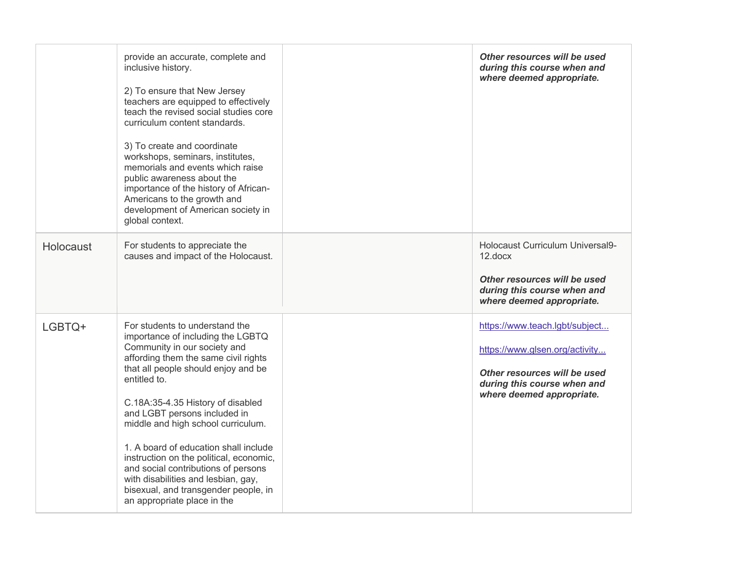|           | provide an accurate, complete and<br>inclusive history.<br>2) To ensure that New Jersey<br>teachers are equipped to effectively<br>teach the revised social studies core<br>curriculum content standards.<br>3) To create and coordinate<br>workshops, seminars, institutes,<br>memorials and events which raise<br>public awareness about the<br>importance of the history of African-<br>Americans to the growth and<br>development of American society in<br>global context.                                                                        | Other resources will be used<br>during this course when and<br>where deemed appropriate.                                                                     |
|-----------|--------------------------------------------------------------------------------------------------------------------------------------------------------------------------------------------------------------------------------------------------------------------------------------------------------------------------------------------------------------------------------------------------------------------------------------------------------------------------------------------------------------------------------------------------------|--------------------------------------------------------------------------------------------------------------------------------------------------------------|
| Holocaust | For students to appreciate the<br>causes and impact of the Holocaust.                                                                                                                                                                                                                                                                                                                                                                                                                                                                                  | Holocaust Curriculum Universal9-<br>$12$ .docx<br>Other resources will be used<br>during this course when and<br>where deemed appropriate.                   |
| LGBTQ+    | For students to understand the<br>importance of including the LGBTQ<br>Community in our society and<br>affording them the same civil rights<br>that all people should enjoy and be<br>entitled to.<br>C.18A:35-4.35 History of disabled<br>and LGBT persons included in<br>middle and high school curriculum.<br>1. A board of education shall include<br>instruction on the political, economic,<br>and social contributions of persons<br>with disabilities and lesbian, gay,<br>bisexual, and transgender people, in<br>an appropriate place in the | https://www.teach.lgbt/subject<br>https://www.glsen.org/activity<br>Other resources will be used<br>during this course when and<br>where deemed appropriate. |